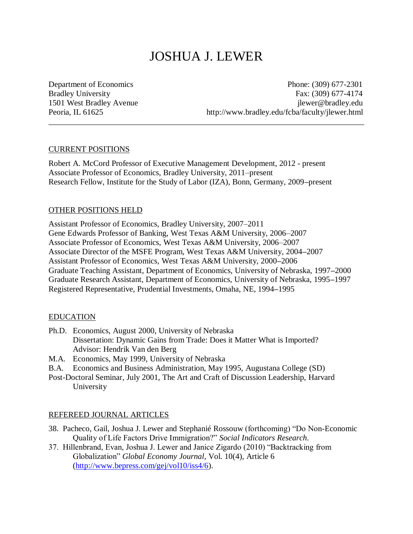# JOSHUA J. LEWER

\_\_\_\_\_\_\_\_\_\_\_\_\_\_\_\_\_\_\_\_\_\_\_\_\_\_\_\_\_\_\_\_\_\_\_\_\_\_\_\_\_\_\_\_\_\_\_\_\_\_\_\_\_\_\_\_\_\_\_\_\_\_\_\_\_\_\_\_\_\_\_\_\_\_\_\_\_\_

Department of Economics Phone: (309) 677-2301 Bradley University Fax: (309) 677-4174 1501 West Bradley Avenue jlewer@bradley.edu Peoria, IL 61625 http://www.bradley.edu/fcba/faculty/jlewer.html

## CURRENT POSITIONS

Robert A. McCord Professor of Executive Management Development, 2012 - present Associate Professor of Economics, Bradley University, 2011–present Research Fellow, Institute for the Study of Labor (IZA), Bonn, Germany, 2009**–**present

# OTHER POSITIONS HELD

Assistant Professor of Economics, Bradley University, 2007–2011 Gene Edwards Professor of Banking, West Texas A&M University, 2006–2007 Associate Professor of Economics, West Texas A&M University, 2006–2007 Associate Director of the MSFE Program, West Texas A&M University, 2004**–**2007 Assistant Professor of Economics, West Texas A&M University, 2000**–**2006 Graduate Teaching Assistant, Department of Economics, University of Nebraska, 1997**–**2000 Graduate Research Assistant, Department of Economics, University of Nebraska, 1995**–**1997 Registered Representative, Prudential Investments, Omaha, NE, 1994**–**1995

# EDUCATION

- Ph.D. Economics, August 2000, University of Nebraska Dissertation: Dynamic Gains from Trade: Does it Matter What is Imported? Advisor: Hendrik Van den Berg
- M.A. Economics, May 1999, University of Nebraska
- B.A. Economics and Business Administration, May 1995, Augustana College (SD)
- Post-Doctoral Seminar, July 2001, The Art and Craft of Discussion Leadership, Harvard University

# REFEREED JOURNAL ARTICLES

- 38. Pacheco, Gail, Joshua J. Lewer and Stephanié Rossouw (forthcoming) "Do Non-Economic Quality of Life Factors Drive Immigration?" *Social Indicators Research*.
- 37. Hillenbrand, Evan, Joshua J. Lewer and Janice Zigardo (2010) "Backtracking from Globalization" *Global Economy Journal*, Vol. 10(4), Article 6 [\(http://www.bepress.com/gej/vol10/iss4/6\)](http://www.bepress.com/gej/vol10/iss4/6).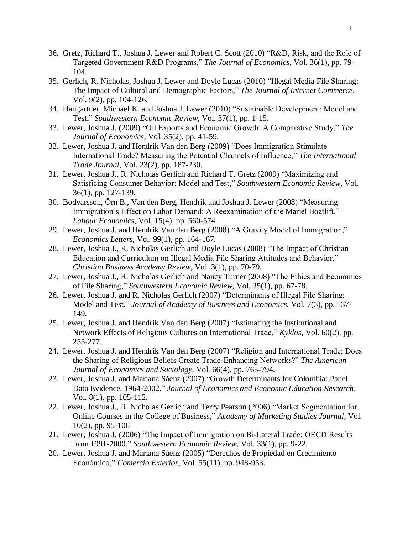- 36. Gretz, Richard T., Joshua J. Lewer and Robert C. Scott (2010) "R&D, Risk, and the Role of Targeted Government R&D Programs," *The Journal of Economics*, Vol. 36(1), pp. 79- 104.
- 35. Gerlich, R. Nicholas, Joshua J. Lewer and Doyle Lucas (2010) "Illegal Media File Sharing: The Impact of Cultural and Demographic Factors," *The Journal of Internet Commerce*, Vol. 9(2), pp. 104-126.
- 34. Hangartner, Michael K. and Joshua J. Lewer (2010) "Sustainable Development: Model and Test," *Southwestern Economic Review*, Vol. 37(1), pp. 1-15.
- 33. Lewer, Joshua J. (2009) "Oil Exports and Economic Growth: A Comparative Study," *The Journal of Economics*, Vol. 35(2), pp. 41-59.
- 32. Lewer, Joshua J. and Hendrik Van den Berg (2009) "Does Immigration Stimulate International Trade? Measuring the Potential Channels of Influence," *The International Trade Journal*, Vol. 23(2), pp. 187-230.
- 31. Lewer, Joshua J., R. Nicholas Gerlich and Richard T. Gretz (2009) "Maximizing and Satisficing Consumer Behavior: Model and Test," *Southwestern Economic Review*, Vol. 36(1), pp. 127-139.
- 30. Bodvarsson, Örn B., Van den Berg, Hendrik and Joshua J. Lewer (2008) "Measuring Immigration's Effect on Labor Demand: A Reexamination of the Mariel Boatlift," *Labour Economics*, Vol. 15(4), pp. 560-574.
- 29. Lewer, Joshua J. and Hendrik Van den Berg (2008) "A Gravity Model of Immigration," *Economics Letters*, Vol. 99(1), pp. 164-167.
- 28. Lewer, Joshua J., R. Nicholas Gerlich and Doyle Lucas (2008) "The Impact of Christian Education and Curriculum on Illegal Media File Sharing Attitudes and Behavior," *Christian Business Academy Review*, Vol. 3(1), pp. 70-79.
- 27. Lewer, Joshua J., R. Nicholas Gerlich and Nancy Turner (2008) "The Ethics and Economics of File Sharing," *Southwestern Economic Review*, Vol. 35(1), pp. 67-78.
- 26. Lewer, Joshua J. and R. Nicholas Gerlich (2007) "Determinants of Illegal File Sharing: Model and Test," *Journal of Academy of Business and Economics*, Vol. 7(3), pp. 137- 149.
- 25. Lewer, Joshua J. and Hendrik Van den Berg (2007) "Estimating the Institutional and Network Effects of Religious Cultures on International Trade," *Kyklos*, Vol. 60(2), pp. 255-277.
- 24. Lewer, Joshua J. and Hendrik Van den Berg (2007) "Religion and International Trade: Does the Sharing of Religious Beliefs Create Trade-Enhancing Networks?" *The American Journal of Economics and Sociology*, Vol. 66(4), pp. 765-794.
- 23. Lewer, Joshua J. and Mariana Sáenz (2007) "Growth Determinants for Colombia: Panel Data Evidence, 1964-2002," *Journal of Economics and Economic Education Research*, Vol. 8(1), pp. 105-112.
- 22. Lewer, Joshua J., R. Nicholas Gerlich and Terry Pearson (2006) "Market Segmentation for Online Courses in the College of Business," *Academy of Marketing Studies Journal*, Vol. 10(2), pp. 95-106
- 21. Lewer, Joshua J. (2006) "The Impact of Immigration on Bi-Lateral Trade: OECD Results from 1991-2000," *Southwestern Economic Review*, Vol. 33(1), pp. 9-22.
- 20. Lewer, Joshua J. and Mariana Sáenz (2005) "Derechos de Propiedad en Crecimiento Económico," *Comercio Exterior*, Vol. 55(11), pp. 948-953.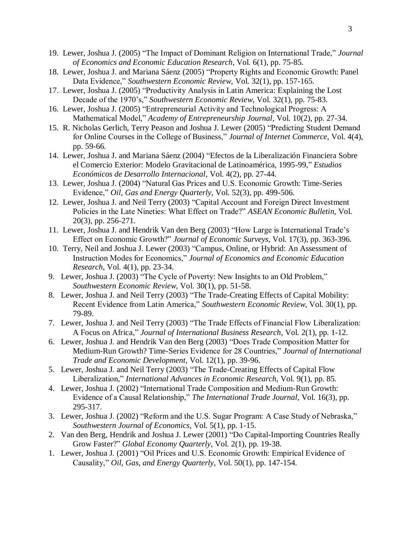- 19. Lewer, Joshua J. (2005) "The Impact of Dominant Religion on International Trade," *Journal of Economics and Economic Education Research*, Vol. 6(1), pp. 75-85.
- 18. Lewer, Joshua J. and Mariana Sáenz (2005) "Property Rights and Economic Growth: Panel Data Evidence," *Southwestern Economic Review*, Vol. 32(1), pp. 157-165.
- 17. Lewer, Joshua J. (2005) "Productivity Analysis in Latin America: Explaining the Lost Decade of the 1970's," *Southwestern Economic Review*, Vol. 32(1), pp. 75-83.
- 16. Lewer, Joshua J. (2005) "Entrepreneurial Activity and Technological Progress: A Mathematical Model," *Academy of Entrepreneurship Journal*, Vol. 10(2), pp. 27-34.
- 15. R. Nicholas Gerlich, Terry Peason and Joshua J. Lewer (2005) "Predicting Student Demand for Online Courses in the College of Business," *Journal of Internet Commerce*, Vol. 4(4), pp. 59-66.
- 14. Lewer, Joshua J. and Mariana Sáenz (2004) "Efectos de la Liberalización Financiera Sobre el Comercio Exterior: Modelo Gravitacional de Latinoamérica, 1995-99," *Estudios Económicos de Desarrollo Internacional*, Vol. 4(2), pp. 27-44.
- 13. Lewer, Joshua J. (2004) "Natural Gas Prices and U.S. Economic Growth: Time-Series Evidence," *Oil, Gas and Energy Quarterly*, Vol. 52(3), pp. 499-506.
- 12. Lewer, Joshua J. and Neil Terry (2003) "Capital Account and Foreign Direct Investment Policies in the Late Nineties: What Effect on Trade?" *ASEAN Economic Bulletin*, Vol. 20(3), pp. 256-271.
- 11. Lewer, Joshua J. and Hendrik Van den Berg (2003) "How Large is International Trade's Effect on Economic Growth?" *Journal of Economic Surveys*, Vol. 17(3), pp. 363-396.
- 10. Terry, Neil and Joshua J. Lewer (2003) "Campus, Online, or Hybrid: An Assessment of Instruction Modes for Economics," *Journal of Economics and Economic Education Research*, Vol. 4(1), pp. 23-34.
- 9. Lewer, Joshua J. (2003) "The Cycle of Poverty: New Insights to an Old Problem," *Southwestern Economic Review*, Vol. 30(1), pp. 51-58.
- 8. Lewer, Joshua J. and Neil Terry (2003) "The Trade-Creating Effects of Capital Mobility: Recent Evidence from Latin America," *Southwestern Economic Review*, Vol. 30(1), pp. 79-89.
- 7. Lewer, Joshua J. and Neil Terry (2003) "The Trade Effects of Financial Flow Liberalization: A Focus on Africa," *Journal of International Business Research*, Vol. 2(1), pp. 1-12.
- 6. Lewer, Joshua J. and Hendrik Van den Berg (2003) "Does Trade Composition Matter for Medium-Run Growth? Time-Series Evidence for 28 Countries," *Journal of International Trade and Economic Development*, Vol. 12(1), pp. 39-96.
- 5. Lewer, Joshua J. and Neil Terry (2003) "The Trade-Creating Effects of Capital Flow Liberalization," *International Advances in Economic Research*, Vol. 9(1), pp. 85.
- 4. Lewer, Joshua J. (2002) "International Trade Composition and Medium-Run Growth: Evidence of a Causal Relationship," *The International Trade Journal*, Vol. 16(3), pp. 295-317.
- 3. Lewer, Joshua J. (2002) "Reform and the U.S. Sugar Program: A Case Study of Nebraska," *Southwestern Journal of Economics*, Vol. 5(1), pp. 1-15.
- 2. Van den Berg, Hendrik and Joshua J. Lewer (2001) "Do Capital-Importing Countries Really Grow Faster?" *Global Economy Quarterly*, Vol. 2(1), pp. 19-38.
- 1. Lewer, Joshua J. (2001) "Oil Prices and U.S. Economic Growth: Empirical Evidence of Causality," *Oil, Gas, and Energy Quarterly*, Vol. 50(1), pp. 147-154.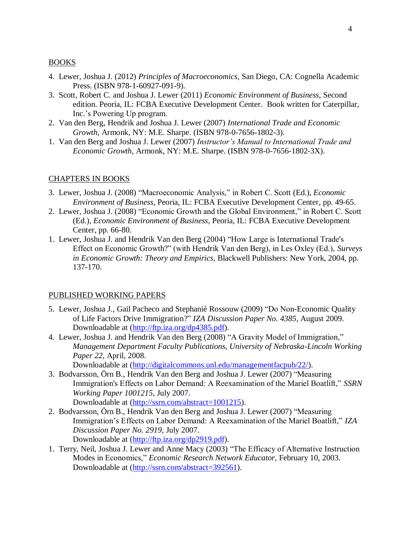## BOOKS

- 4. Lewer, Joshua J. (2012) *Principles of Macroeconomics*, San Diego, CA: Cognella Academic Press. (ISBN 978-1-60927-091-9).
- 3. Scott, Robert C. and Joshua J. Lewer (2011) *Economic Environment of Business*, Second edition. Peoria, IL: FCBA Executive Development Center. Book written for Caterpillar, Inc.'s Powering Up program.
- 2. Van den Berg, Hendrik and Joshua J. Lewer (2007) *International Trade and Economic Growth*, Armonk, NY: M.E. Sharpe. (ISBN 978-0-7656-1802-3).
- 1. Van den Berg and Joshua J. Lewer (2007) *Instructor's Manual to International Trade and Economic Growth*, Armonk, NY: M.E. Sharpe. (ISBN 978-0-7656-1802-3X).

## CHAPTERS IN BOOKS

- 3. Lewer, Joshua J. (2008) "Macroeconomic Analysis," in Robert C. Scott (Ed.), *Economic Environment of Business*, Peoria, IL: FCBA Executive Development Center, pp. 49-65.
- 2. Lewer, Joshua J. (2008) "Economic Growth and the Global Environment," in Robert C. Scott (Ed.), *Economic Environment of Business*, Peoria, IL: FCBA Executive Development Center, pp. 66-80.
- 1. Lewer, Joshua J. and Hendrik Van den Berg (2004) "How Large is International Trade's Effect on Economic Growth?" (with Hendrik Van den Berg), in Les Oxley (Ed.), *Surveys in Economic Growth: Theory and Empirics*, Blackwell Publishers: New York, 2004, pp. 137-170.

## PUBLISHED WORKING PAPERS

- 5. Lewer, Joshua J., Gail Pacheco and Stephanié Rossouw (2009) "Do Non-Economic Quality of Life Factors Drive Immigration?" *IZA Discussion Paper No. 4385*, August 2009. Downloadable at [\(http://ftp.iza.org/dp4385.pdf\)](http://ftp.iza.org/dp4385.pdf).
- 4. Lewer, Joshua J. and Hendrik Van den Berg (2008) "A Gravity Model of Immigration," *Management Department Faculty Publications, University of Nebraska-Lincoln Working Paper 22*, April, 2008.

Downloadable at [\(http://digitalcommons.unl.edu/managementfacpub/22/\)](http://digitalcommons.unl.edu/managementfacpub/22/).

- 3. Bodvarsson, Örn B., Hendrik Van den Berg and Joshua J. Lewer (2007) "Measuring Immigration's Effects on Labor Demand: A Reexamination of the Mariel Boatlift," *SSRN Working Paper 1001215*, July 2007. Downloadable at [\(http://ssrn.com/abstract=1001215\)](http://ssrn.com/abstract=1001215).
- 2. Bodvarsson, Örn B., Hendrik Van den Berg and Joshua J. Lewer (2007) "Measuring Immigration's Effects on Labor Demand: A Reexamination of the Mariel Boatlift," *IZA Discussion Paper No. 2919*, July 2007. Downloadable at [\(http://ftp.iza.org/dp2919.pdf\)](http://ftp.iza.org/dp2919.pdf).
- 1. Terry, Neil, Joshua J. Lewer and Anne Macy (2003) "The Efficacy of Alternative Instruction Modes in Economics," *Economic Research Network Educator*, February 10, 2003. Downloadable at [\(http://ssrn.com/abstract=392561\)](http://ssrn.com/abstract=392561).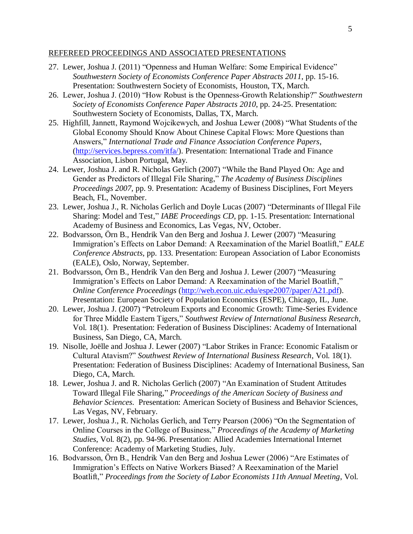#### REFEREED PROCEEDINGS AND ASSOCIATED PRESENTATIONS

- 27. Lewer, Joshua J. (2011) "Openness and Human Welfare: Some Empirical Evidence" *Southwestern Society of Economists Conference Paper Abstracts 2011*, pp. 15-16. Presentation: Southwestern Society of Economists, Houston, TX, March.
- 26. Lewer, Joshua J. (2010) "How Robust is the Openness-Growth Relationship?" *Southwestern Society of Economists Conference Paper Abstracts 2010*, pp. 24-25. Presentation: Southwestern Society of Economists, Dallas, TX, March.
- 25. Highfill, Jannett, Raymond Wojcikewych, and Joshua Lewer (2008) "What Students of the Global Economy Should Know About Chinese Capital Flows: More Questions than Answers," *International Trade and Finance Association Conference Papers*, [\(http://services.bepress.com/itfa/\)](http://services.bepress.com/itfa/). Presentation: International Trade and Finance Association, Lisbon Portugal, May.
- 24. Lewer, Joshua J. and R. Nicholas Gerlich (2007) "While the Band Played On: Age and Gender as Predictors of Illegal File Sharing," *The Academy of Business Disciplines Proceedings 2007*, pp. 9. Presentation: Academy of Business Disciplines, Fort Meyers Beach, FL, November.
- 23. Lewer, Joshua J., R. Nicholas Gerlich and Doyle Lucas (2007) "Determinants of Illegal File Sharing: Model and Test," *IABE Proceedings CD*, pp. 1-15. Presentation: International Academy of Business and Economics, Las Vegas, NV, October.
- 22. Bodvarsson, Örn B., Hendrik Van den Berg and Joshua J. Lewer (2007) "Measuring Immigration's Effects on Labor Demand: A Reexamination of the Mariel Boatlift," *EALE Conference Abstracts*, pp. 133. Presentation: European Association of Labor Economists (EALE), Oslo, Norway, September.
- 21. Bodvarsson, Örn B., Hendrik Van den Berg and Joshua J. Lewer (2007) "Measuring Immigration's Effects on Labor Demand: A Reexamination of the Mariel Boatlift," *Online Conference Proceedings* [\(http://web.econ.uic.edu/espe2007/paper/A21.pdf\)](http://web.econ.uic.edu/espe2007/paper/A21.pdf). Presentation: European Society of Population Economics (ESPE), Chicago, IL, June.
- 20. Lewer, Joshua J. (2007) "Petroleum Exports and Economic Growth: Time-Series Evidence for Three Middle Eastern Tigers," *Southwest Review of International Business Research*, Vol. 18(1). Presentation: Federation of Business Disciplines: Academy of International Business, San Diego, CA, March.
- 19. Nisolle, Joëlle and Joshua J. Lewer (2007) "Labor Strikes in France: Economic Fatalism or Cultural Atavism?" *Southwest Review of International Business Research*, Vol. 18(1). Presentation: Federation of Business Disciplines: Academy of International Business, San Diego, CA, March.
- 18. Lewer, Joshua J. and R. Nicholas Gerlich (2007) "An Examination of Student Attitudes Toward Illegal File Sharing," *Proceedings of the American Society of Business and Behavior Sciences*. Presentation: American Society of Business and Behavior Sciences, Las Vegas, NV, February.
- 17. Lewer, Joshua J., R. Nicholas Gerlich, and Terry Pearson (2006) "On the Segmentation of Online Courses in the College of Business," *Proceedings of the Academy of Marketing Studies*, Vol. 8(2), pp. 94-96. Presentation: Allied Academies International Internet Conference: Academy of Marketing Studies, July.
- 16. Bodvarsson, Örn B., Hendrik Van den Berg and Joshua Lewer (2006) "Are Estimates of Immigration's Effects on Native Workers Biased? A Reexamination of the Mariel Boatlift," *Proceedings from the Society of Labor Economists 11th Annual Meeting*, Vol.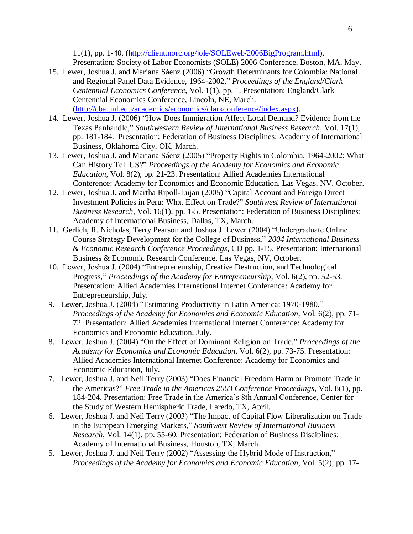11(1), pp. 1-40. [\(http://client.norc.org/jole/SOLEweb/2006BigProgram.html\)](http://client.norc.org/jole/SOLEweb/2006BigProgram.html). Presentation: Society of Labor Economists (SOLE) 2006 Conference, Boston, MA, May.

- 15. Lewer, Joshua J. and Mariana Sáenz (2006) "Growth Determinants for Colombia: National and Regional Panel Data Evidence, 1964-2002," *Proceedings of the England/Clark Centennial Economics Conference*, Vol. 1(1), pp. 1. Presentation: England/Clark Centennial Economics Conference, Lincoln, NE, March. [\(http://cba.unl.edu/academics/economics/clarkconference/index.aspx\)](http://cba.unl.edu/academics/economics/clarkconference/index.aspx).
- 14. Lewer, Joshua J. (2006) "How Does Immigration Affect Local Demand? Evidence from the Texas Panhandle," *Southwestern Review of International Business Research*, Vol. 17(1), pp. 181-184. Presentation: Federation of Business Disciplines: Academy of International Business, Oklahoma City, OK, March.
- 13. Lewer, Joshua J. and Mariana Sáenz (2005) "Property Rights in Colombia, 1964-2002: What Can History Tell US?" *Proceedings of the Academy for Economics and Economic Education*, Vol. 8(2), pp. 21-23. Presentation: Allied Academies International Conference: Academy for Economics and Economic Education, Las Vegas, NV, October.
- 12. Lewer, Joshua J. and Martha Ripoll-Lujan (2005) "Capital Account and Foreign Direct Investment Policies in Peru: What Effect on Trade?" *Southwest Review of International Business Research*, Vol. 16(1), pp. 1-5. Presentation: Federation of Business Disciplines: Academy of International Business, Dallas, TX, March.
- 11. Gerlich, R. Nicholas, Terry Pearson and Joshua J. Lewer (2004) "Undergraduate Online Course Strategy Development for the College of Business," *2004 International Business & Economic Research Conference Proceedings*, CD pp. 1-15. Presentation: International Business & Economic Research Conference, Las Vegas, NV, October.
- 10. Lewer, Joshua J. (2004) "Entrepreneurship, Creative Destruction, and Technological Progress," *Proceedings of the Academy for Entrepreneurship*, Vol. 6(2), pp. 52-53. Presentation: Allied Academies International Internet Conference: Academy for Entrepreneurship, July.
- 9. Lewer, Joshua J. (2004) "Estimating Productivity in Latin America: 1970-1980," *Proceedings of the Academy for Economics and Economic Education*, Vol. 6(2), pp. 71- 72. Presentation: Allied Academies International Internet Conference: Academy for Economics and Economic Education, July.
- 8. Lewer, Joshua J. (2004) "On the Effect of Dominant Religion on Trade," *Proceedings of the Academy for Economics and Economic Education*, Vol. 6(2), pp. 73-75. Presentation: Allied Academies International Internet Conference: Academy for Economics and Economic Education, July.
- 7. Lewer, Joshua J. and Neil Terry (2003) "Does Financial Freedom Harm or Promote Trade in the Americas?" *Free Trade in the Americas 2003 Conference Proceedings*, Vol. 8(1), pp. 184-204. Presentation: Free Trade in the America's 8th Annual Conference, Center for the Study of Western Hemispheric Trade, Laredo, TX, April.
- 6. Lewer, Joshua J. and Neil Terry (2003) "The Impact of Capital Flow Liberalization on Trade in the European Emerging Markets," *Southwest Review of International Business Research*, Vol. 14(1), pp. 55-60. Presentation: Federation of Business Disciplines: Academy of International Business, Houston, TX, March.
- 5. Lewer, Joshua J. and Neil Terry (2002) "Assessing the Hybrid Mode of Instruction," *Proceedings of the Academy for Economics and Economic Education*, Vol. 5(2), pp. 17-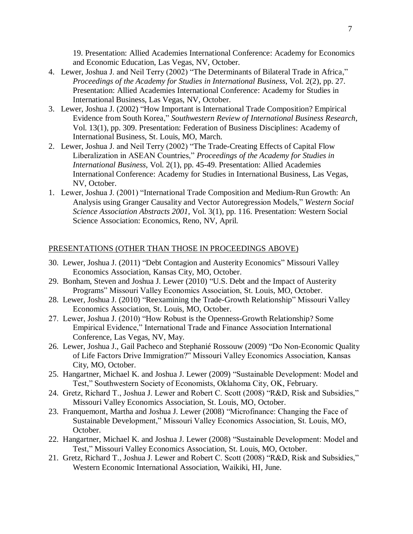19. Presentation: Allied Academies International Conference: Academy for Economics and Economic Education, Las Vegas, NV, October.

- 4. Lewer, Joshua J. and Neil Terry (2002) "The Determinants of Bilateral Trade in Africa," *Proceedings of the Academy for Studies in International Business*, Vol. 2(2), pp. 27. Presentation: Allied Academies International Conference: Academy for Studies in International Business, Las Vegas, NV, October.
- 3. Lewer, Joshua J. (2002) "How Important is International Trade Composition? Empirical Evidence from South Korea," *Southwestern Review of International Business Research*, Vol. 13(1), pp. 309. Presentation: Federation of Business Disciplines: Academy of International Business, St. Louis, MO, March.
- 2. Lewer, Joshua J. and Neil Terry (2002) "The Trade-Creating Effects of Capital Flow Liberalization in ASEAN Countries," *Proceedings of the Academy for Studies in International Business*, Vol. 2(1), pp. 45-49. Presentation: Allied Academies International Conference: Academy for Studies in International Business, Las Vegas, NV, October.
- 1. Lewer, Joshua J. (2001) "International Trade Composition and Medium-Run Growth: An Analysis using Granger Causality and Vector Autoregression Models," *Western Social Science Association Abstracts 2001*, Vol. 3(1), pp. 116. Presentation: Western Social Science Association: Economics, Reno, NV, April.

## PRESENTATIONS (OTHER THAN THOSE IN PROCEEDINGS ABOVE)

- 30. Lewer, Joshua J. (2011) "Debt Contagion and Austerity Economics" Missouri Valley Economics Association, Kansas City, MO, October.
- 29. Bonham, Steven and Joshua J. Lewer (2010) "U.S. Debt and the Impact of Austerity Programs" Missouri Valley Economics Association, St. Louis, MO, October.
- 28. Lewer, Joshua J. (2010) "Reexamining the Trade-Growth Relationship" Missouri Valley Economics Association, St. Louis, MO, October.
- 27. Lewer, Joshua J. (2010) "How Robust is the Openness-Growth Relationship? Some Empirical Evidence," International Trade and Finance Association International Conference, Las Vegas, NV, May.
- 26. Lewer, Joshua J., Gail Pacheco and Stephanié Rossouw (2009) "Do Non-Economic Quality of Life Factors Drive Immigration?" Missouri Valley Economics Association, Kansas City, MO, October.
- 25. Hangartner, Michael K. and Joshua J. Lewer (2009) "Sustainable Development: Model and Test," Southwestern Society of Economists, Oklahoma City, OK, February.
- 24. Gretz, Richard T., Joshua J. Lewer and Robert C. Scott (2008) "R&D, Risk and Subsidies," Missouri Valley Economics Association, St. Louis, MO, October.
- 23. Franquemont, Martha and Joshua J. Lewer (2008) "Microfinance: Changing the Face of Sustainable Development," Missouri Valley Economics Association, St. Louis, MO, October.
- 22. Hangartner, Michael K. and Joshua J. Lewer (2008) "Sustainable Development: Model and Test," Missouri Valley Economics Association, St. Louis, MO, October.
- 21. Gretz, Richard T., Joshua J. Lewer and Robert C. Scott (2008) "R&D, Risk and Subsidies," Western Economic International Association, Waikiki, HI, June.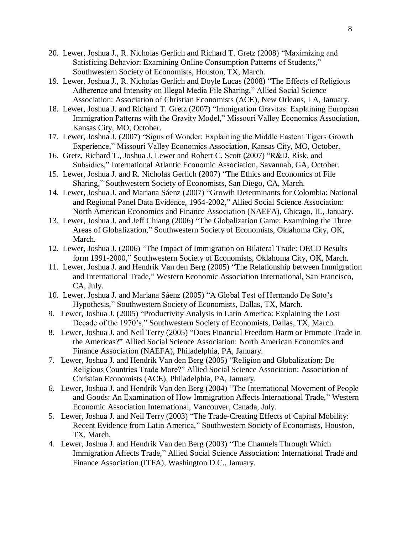- 20. Lewer, Joshua J., R. Nicholas Gerlich and Richard T. Gretz (2008) "Maximizing and Satisficing Behavior: Examining Online Consumption Patterns of Students," Southwestern Society of Economists, Houston, TX, March.
- 19. Lewer, Joshua J., R. Nicholas Gerlich and Doyle Lucas (2008) "The Effects of Religious Adherence and Intensity on Illegal Media File Sharing," Allied Social Science Association: Association of Christian Economists (ACE), New Orleans, LA, January.
- 18. Lewer, Joshua J. and Richard T. Gretz (2007) "Immigration Gravitas: Explaining European Immigration Patterns with the Gravity Model," Missouri Valley Economics Association, Kansas City, MO, October.
- 17. Lewer, Joshua J. (2007) "Signs of Wonder: Explaining the Middle Eastern Tigers Growth Experience," Missouri Valley Economics Association, Kansas City, MO, October.
- 16. Gretz, Richard T., Joshua J. Lewer and Robert C. Scott (2007) "R&D, Risk, and Subsidies," International Atlantic Economic Association, Savannah, GA, October.
- 15. Lewer, Joshua J. and R. Nicholas Gerlich (2007) "The Ethics and Economics of File Sharing," Southwestern Society of Economists, San Diego, CA, March.
- 14. Lewer, Joshua J. and Mariana Sáenz (2007) "Growth Determinants for Colombia: National and Regional Panel Data Evidence, 1964-2002," Allied Social Science Association: North American Economics and Finance Association (NAEFA), Chicago, IL, January.
- 13. Lewer, Joshua J. and Jeff Chiang (2006) "The Globalization Game: Examining the Three Areas of Globalization," Southwestern Society of Economists, Oklahoma City, OK, March.
- 12. Lewer, Joshua J. (2006) "The Impact of Immigration on Bilateral Trade: OECD Results form 1991-2000," Southwestern Society of Economists, Oklahoma City, OK, March.
- 11. Lewer, Joshua J. and Hendrik Van den Berg (2005) "The Relationship between Immigration and International Trade," Western Economic Association International, San Francisco, CA, July.
- 10. Lewer, Joshua J. and Mariana Sáenz (2005) "A Global Test of Hernando De Soto's Hypothesis," Southwestern Society of Economists, Dallas, TX, March.
- 9. Lewer, Joshua J. (2005) "Productivity Analysis in Latin America: Explaining the Lost Decade of the 1970's," Southwestern Society of Economists, Dallas, TX, March.
- 8. Lewer, Joshua J. and Neil Terry (2005) "Does Financial Freedom Harm or Promote Trade in the Americas?" Allied Social Science Association: North American Economics and Finance Association (NAEFA), Philadelphia, PA, January.
- 7. Lewer, Joshua J. and Hendrik Van den Berg (2005) "Religion and Globalization: Do Religious Countries Trade More?" Allied Social Science Association: Association of Christian Economists (ACE), Philadelphia, PA, January.
- 6. Lewer, Joshua J. and Hendrik Van den Berg (2004) "The International Movement of People and Goods: An Examination of How Immigration Affects International Trade," Western Economic Association International, Vancouver, Canada, July.
- 5. Lewer, Joshua J. and Neil Terry (2003) "The Trade-Creating Effects of Capital Mobility: Recent Evidence from Latin America," Southwestern Society of Economists, Houston, TX, March.
- 4. Lewer, Joshua J. and Hendrik Van den Berg (2003) "The Channels Through Which Immigration Affects Trade," Allied Social Science Association: International Trade and Finance Association (ITFA), Washington D.C., January.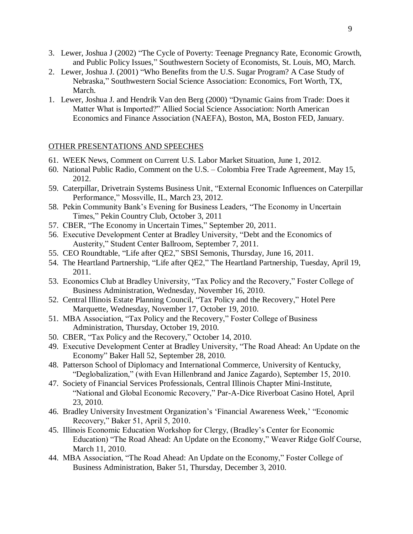- 3. Lewer, Joshua J (2002) "The Cycle of Poverty: Teenage Pregnancy Rate, Economic Growth, and Public Policy Issues," Southwestern Society of Economists, St. Louis, MO, March.
- 2. Lewer, Joshua J. (2001) "Who Benefits from the U.S. Sugar Program? A Case Study of Nebraska," Southwestern Social Science Association: Economics, Fort Worth, TX, March.
- 1. Lewer, Joshua J. and Hendrik Van den Berg (2000) "Dynamic Gains from Trade: Does it Matter What is Imported?" Allied Social Science Association: North American Economics and Finance Association (NAEFA), Boston, MA, Boston FED, January.

# OTHER PRESENTATIONS AND SPEECHES

- 61. WEEK News, Comment on Current U.S. Labor Market Situation, June 1, 2012.
- 60. National Public Radio, Comment on the U.S. Colombia Free Trade Agreement, May 15, 2012.
- 59. Caterpillar, Drivetrain Systems Business Unit, "External Economic Influences on Caterpillar Performance," Mossville, IL, March 23, 2012.
- 58. Pekin Community Bank's Evening for Business Leaders, "The Economy in Uncertain Times," Pekin Country Club, October 3, 2011
- 57. CBER, "The Economy in Uncertain Times," September 20, 2011.
- 56. Executive Development Center at Bradley University, "Debt and the Economics of Austerity," Student Center Ballroom, September 7, 2011.
- 55. CEO Roundtable, "Life after QE2," SBSI Semonis, Thursday, June 16, 2011.
- 54. The Heartland Partnership, "Life after QE2," The Heartland Partnership, Tuesday, April 19, 2011.
- 53. Economics Club at Bradley University, "Tax Policy and the Recovery," Foster College of Business Administration, Wednesday, November 16, 2010.
- 52. Central Illinois Estate Planning Council, "Tax Policy and the Recovery," Hotel Pere Marquette, Wednesday, November 17, October 19, 2010.
- 51. MBA Association, "Tax Policy and the Recovery," Foster College of Business Administration, Thursday, October 19, 2010.
- 50. CBER, "Tax Policy and the Recovery," October 14, 2010.
- 49. Executive Development Center at Bradley University, "The Road Ahead: An Update on the Economy" Baker Hall 52, September 28, 2010.
- 48. Patterson School of Diplomacy and International Commerce, University of Kentucky, "Deglobalization," (with Evan Hillenbrand and Janice Zagardo), September 15, 2010.
- 47. Society of Financial Services Professionals, Central Illinois Chapter Mini-Institute, "National and Global Economic Recovery," Par-A-Dice Riverboat Casino Hotel, April 23, 2010.
- 46. Bradley University Investment Organization's 'Financial Awareness Week,' "Economic Recovery," Baker 51, April 5, 2010.
- 45. Illinois Economic Education Workshop for Clergy, (Bradley's Center for Economic Education) "The Road Ahead: An Update on the Economy," Weaver Ridge Golf Course, March 11, 2010.
- 44. MBA Association, "The Road Ahead: An Update on the Economy," Foster College of Business Administration, Baker 51, Thursday, December 3, 2010.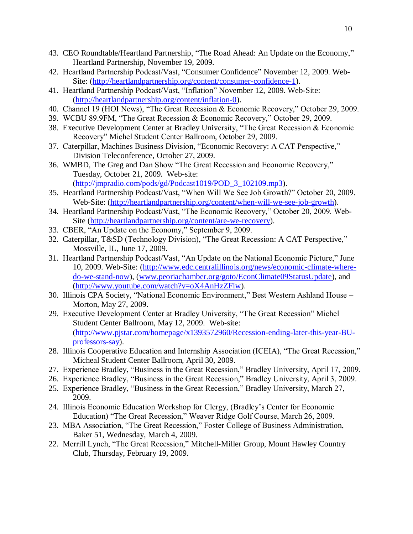- 43. CEO Roundtable/Heartland Partnership, "The Road Ahead: An Update on the Economy," Heartland Partnership, November 19, 2009.
- 42. Heartland Partnership Podcast/Vast, "Consumer Confidence" November 12, 2009. Web-Site: [\(http://heartlandpartnership.org/content/consumer-confidence-1\)](http://heartlandpartnership.org/content/consumer-confidence-1).
- 41. Heartland Partnership Podcast/Vast, "Inflation" November 12, 2009. Web-Site: [\(http://heartlandpartnership.org/content/inflation-0\)](http://heartlandpartnership.org/content/inflation-0).
- 40. Channel 19 (HOI News), "The Great Recession & Economic Recovery," October 29, 2009.
- 39. WCBU 89.9FM, "The Great Recession & Economic Recovery," October 29, 2009.
- 38. Executive Development Center at Bradley University, "The Great Recession & Economic Recovery" Michel Student Center Ballroom, October 29, 2009.
- 37. Caterpillar, Machines Business Division, "Economic Recovery: A CAT Perspective," Division Teleconference, October 27, 2009.
- 36. WMBD, The Greg and Dan Show "The Great Recession and Economic Recovery," Tuesday, October 21, 2009. Web-site: [\(http://jmpradio.com/pods/gd/Podcast1019/POD\\_3\\_102109.mp3\)](http://jmpradio.com/pods/gd/Podcast1019/POD_3_102109.mp3).
- 35. Heartland Partnership Podcast/Vast, "When Will We See Job Growth?" October 20, 2009. Web-Site: [\(http://heartlandpartnership.org/content/when-will-we-see-job-growth\)](http://heartlandpartnership.org/content/when-will-we-see-job-growth).
- 34. Heartland Partnership Podcast/Vast, "The Economic Recovery," October 20, 2009. Web-Site [\(http://heartlandpartnership.org/content/are-we-recovery\)](http://heartlandpartnership.org/content/are-we-recovery).
- 33. CBER, "An Update on the Economy," September 9, 2009.
- 32. Caterpillar, T&SD (Technology Division), "The Great Recession: A CAT Perspective," Mossville, IL, June 17, 2009.
- 31. Heartland Partnership Podcast/Vast, "An Update on the National Economic Picture," June 10, 2009. Web-Site: [\(http://www.edc.centralillinois.org/news/economic-climate-where](http://www.edc.centralillinois.org/news/economic-climate-where-do-we-stand-now)[do-we-stand-now\)](http://www.edc.centralillinois.org/news/economic-climate-where-do-we-stand-now), [\(www.peoriachamber.org/goto/EconClimate09StatusUpdate\)](http://www.peoriachamber.org/goto/EconClimate09StatusUpdate), and [\(http://www.youtube.com/watch?v=oX4AnHzZFiw\)](http://www.youtube.com/watch?v=oX4AnHzZFiw).
- 30. Illinois CPA Society, "National Economic Environment," Best Western Ashland House Morton, May 27, 2009.
- 29. Executive Development Center at Bradley University, "The Great Recession" Michel Student Center Ballroom, May 12, 2009. Web-site: [\(http://www.pjstar.com/homepage/x1393572960/Recession-ending-later-this-year-BU](http://www.pjstar.com/homepage/x1393572960/Recession-ending-later-this-year-BU-professors-say)[professors-say\)](http://www.pjstar.com/homepage/x1393572960/Recession-ending-later-this-year-BU-professors-say).
- 28. Illinois Cooperative Education and Internship Association (ICEIA), "The Great Recession," Micheal Student Center Ballroom, April 30, 2009.
- 27. Experience Bradley, "Business in the Great Recession," Bradley University, April 17, 2009.
- 26. Experience Bradley, "Business in the Great Recession," Bradley University, April 3, 2009.
- 25. Experience Bradley, "Business in the Great Recession," Bradley University, March 27, 2009.
- 24. Illinois Economic Education Workshop for Clergy, (Bradley's Center for Economic Education) "The Great Recession," Weaver Ridge Golf Course, March 26, 2009.
- 23. MBA Association, "The Great Recession," Foster College of Business Administration, Baker 51, Wednesday, March 4, 2009.
- 22. Merrill Lynch, "The Great Recession," Mitchell-Miller Group, Mount Hawley Country Club, Thursday, February 19, 2009.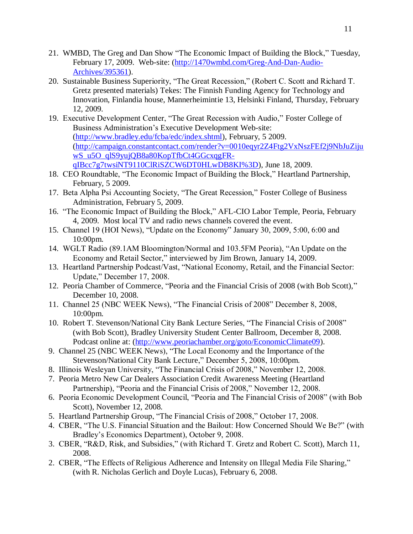- 21. WMBD, The Greg and Dan Show "The Economic Impact of Building the Block," Tuesday, February 17, 2009. Web-site: [\(http://1470wmbd.com/Greg-And-Dan-Audio-](http://1470wmbd.com/Greg-And-Dan-Audio-Archives/395361)[Archives/395361\)](http://1470wmbd.com/Greg-And-Dan-Audio-Archives/395361).
- 20. Sustainable Business Superiority, "The Great Recession," (Robert C. Scott and Richard T. Gretz presented materials) Tekes: The Finnish Funding Agency for Technology and Innovation, Finlandia house, Mannerheimintie 13, Helsinki Finland, Thursday, February 12, 2009.
- 19. Executive Development Center, "The Great Recession with Audio," Foster College of Business Administration's Executive Development Web-site: [\(http://www.bradley.edu/fcba/edc/index.shtml\)](http://www.bradley.edu/fcba/edc/index.shtml), February, 5 2009. [\(http://campaign.constantcontact.com/render?v=0010eqyr2Z4Ftg2VxNszFEf2j9NbJuZiju](http://campaign.constantcontact.com/render?v=0010eqyr2Z4Ftg2VxNszFEf2j9NbJuZijuwS_u5O_qlS9yujQB8a80KopTfbCt4GGcxqgFR-qIBcc7g7twsiNT9110ClRiSZCW6DT0HLwDB8KI%3D) [wS\\_u5O\\_qlS9yujQB8a80KopTfbCt4GGcxqgFR](http://campaign.constantcontact.com/render?v=0010eqyr2Z4Ftg2VxNszFEf2j9NbJuZijuwS_u5O_qlS9yujQB8a80KopTfbCt4GGcxqgFR-qIBcc7g7twsiNT9110ClRiSZCW6DT0HLwDB8KI%3D)[qIBcc7g7twsiNT9110ClRiSZCW6DT0HLwDB8KI%3D\)](http://campaign.constantcontact.com/render?v=0010eqyr2Z4Ftg2VxNszFEf2j9NbJuZijuwS_u5O_qlS9yujQB8a80KopTfbCt4GGcxqgFR-qIBcc7g7twsiNT9110ClRiSZCW6DT0HLwDB8KI%3D), June 18, 2009.
- 18. CEO Roundtable, "The Economic Impact of Building the Block," Heartland Partnership, February, 5 2009.
- 17. Beta Alpha Psi Accounting Society, "The Great Recession," Foster College of Business Administration, February 5, 2009.
- 16. "The Economic Impact of Building the Block," AFL-CIO Labor Temple, Peoria, February 4, 2009. Most local TV and radio news channels covered the event.
- 15. Channel 19 (HOI News), "Update on the Economy" January 30, 2009, 5:00, 6:00 and 10:00pm.
- 14. WGLT Radio (89.1AM Bloomington/Normal and 103.5FM Peoria), "An Update on the Economy and Retail Sector," interviewed by Jim Brown, January 14, 2009.
- 13. Heartland Partnership Podcast/Vast, "National Economy, Retail, and the Financial Sector: Update," December 17, 2008.
- 12. Peoria Chamber of Commerce, "Peoria and the Financial Crisis of 2008 (with Bob Scott)," December 10, 2008.
- 11. Channel 25 (NBC WEEK News), "The Financial Crisis of 2008" December 8, 2008, 10:00pm.
- 10. Robert T. Stevenson/National City Bank Lecture Series, "The Financial Crisis of 2008" (with Bob Scott), Bradley University Student Center Ballroom, December 8, 2008. Podcast online at: [\(http://www.peoriachamber.org/goto/EconomicClimate09\)](https://pobox.bradley.edu/exchweb/bin/redir.asp?URL=http://www.peoriachamber.org/goto/EconomicClimate09).
- 9. Channel 25 (NBC WEEK News), "The Local Economy and the Importance of the Stevenson/National City Bank Lecture," December 5, 2008, 10:00pm.
- 8. Illinois Wesleyan University, "The Financial Crisis of 2008," November 12, 2008.
- 7. Peoria Metro New Car Dealers Association Credit Awareness Meeting (Heartland Partnership), "Peoria and the Financial Crisis of 2008," November 12, 2008.
- 6. Peoria Economic Development Council, "Peoria and The Financial Crisis of 2008" (with Bob Scott), November 12, 2008.
- 5. Heartland Partnership Group, "The Financial Crisis of 2008," October 17, 2008.
- 4. CBER, "The U.S. Financial Situation and the Bailout: How Concerned Should We Be?" (with Bradley's Economics Department), October 9, 2008.
- 3. CBER, "R&D, Risk, and Subsidies," (with Richard T. Gretz and Robert C. Scott), March 11, 2008.
- 2. CBER, "The Effects of Religious Adherence and Intensity on Illegal Media File Sharing," (with R. Nicholas Gerlich and Doyle Lucas), February 6, 2008.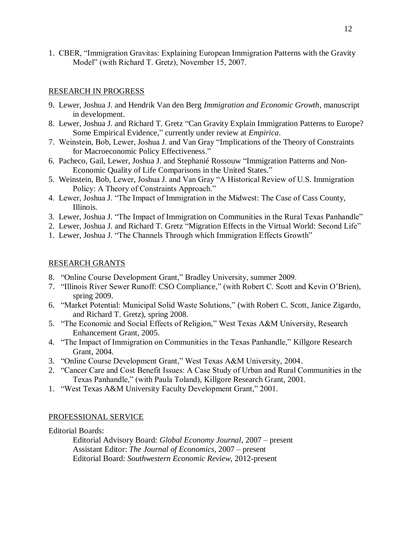1. CBER, "Immigration Gravitas: Explaining European Immigration Patterns with the Gravity Model" (with Richard T. Gretz), November 15, 2007.

# RESEARCH IN PROGRESS

- 9. Lewer, Joshua J. and Hendrik Van den Berg *Immigration and Economic Growth*, manuscript in development.
- 8. Lewer, Joshua J. and Richard T. Gretz "Can Gravity Explain Immigration Patterns to Europe? Some Empirical Evidence," currently under review at *Empirica*.
- 7. Weinstein, Bob, Lewer, Joshua J. and Van Gray "Implications of the Theory of Constraints for Macroeconomic Policy Effectiveness."
- 6. Pacheco, Gail, Lewer, Joshua J. and Stephanié Rossouw "Immigration Patterns and Non-Economic Quality of Life Comparisons in the United States."
- 5. Weinstein, Bob, Lewer, Joshua J. and Van Gray "A Historical Review of U.S. Immigration Policy: A Theory of Constraints Approach."
- 4. Lewer, Joshua J. "The Impact of Immigration in the Midwest: The Case of Cass County, Illinois.
- 3. Lewer, Joshua J. "The Impact of Immigration on Communities in the Rural Texas Panhandle"
- 2. Lewer, Joshua J. and Richard T. Gretz "Migration Effects in the Virtual World: Second Life"
- 1. Lewer, Joshua J. "The Channels Through which Immigration Effects Growth"

# RESEARCH GRANTS

- 8. "Online Course Development Grant," Bradley University, summer 2009.
- 7. "Illinois River Sewer Runoff: CSO Compliance," (with Robert C. Scott and Kevin O'Brien), spring 2009.
- 6. "Market Potential: Municipal Solid Waste Solutions," (with Robert C. Scott, Janice Zigardo, and Richard T. Gretz), spring 2008.
- 5. "The Economic and Social Effects of Religion," West Texas A&M University, Research Enhancement Grant, 2005.
- 4. "The Impact of Immigration on Communities in the Texas Panhandle," Killgore Research Grant, 2004.
- 3. "Online Course Development Grant," West Texas A&M University, 2004.
- 2. "Cancer Care and Cost Benefit Issues: A Case Study of Urban and Rural Communities in the Texas Panhandle," (with Paula Toland), Killgore Research Grant, 2001.
- 1. "West Texas A&M University Faculty Development Grant," 2001.

# PROFESSIONAL SERVICE

Editorial Boards:

Editorial Advisory Board: *Global Economy Journal*, 2007 – present Assistant Editor: *The Journal of Economics*, 2007 – present Editorial Board: *Southwestern Economic Review*, 2012-present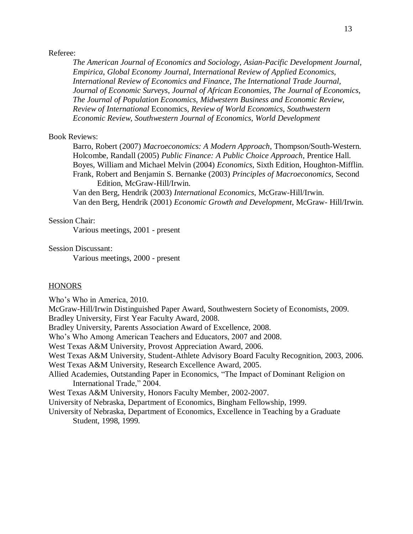#### Referee:

*The American Journal of Economics and Sociology, Asian-Pacific Development Journal*, *Empirica*, *Global Economy Journal, International Review of Applied Economics, International Review of Economics and Finance*, *The International Trade Journal, Journal of Economic Surveys*, *Journal of African Economies, The Journal of Economics, The Journal of Population Economics, Midwestern Business and Economic Review*, *Review of International* Economics, *Review of World Economics*, *Southwestern Economic Review*, *Southwestern Journal of Economics*, *World Development*

## Book Reviews:

Barro, Robert (2007) *Macroeconomics: A Modern Approach*, Thompson/South-Western. Holcombe, Randall (2005) *Public Finance: A Public Choice Approach*, Prentice Hall. Boyes, William and Michael Melvin (2004) *Economics*, Sixth Edition, Houghton-Mifflin. Frank, Robert and Benjamin S. Bernanke (2003) *Principles of Macroeconomics*, Second Edition, McGraw-Hill/Irwin.

Van den Berg, Hendrik (2003) *International Economics*, McGraw-Hill/Irwin. Van den Berg, Hendrik (2001) *Economic Growth and Development*, McGraw- Hill/Irwin.

#### Session Chair:

Various meetings, 2001 - present

## Session Discussant:

Various meetings, 2000 - present

## **HONORS**

Who's Who in America, 2010.

McGraw-Hill/Irwin Distinguished Paper Award, Southwestern Society of Economists, 2009. Bradley University, First Year Faculty Award, 2008. Bradley University, Parents Association Award of Excellence, 2008. Who's Who Among American Teachers and Educators, 2007 and 2008. West Texas A&M University, Provost Appreciation Award, 2006. West Texas A&M University, Student-Athlete Advisory Board Faculty Recognition, 2003, 2006. West Texas A&M University, Research Excellence Award, 2005. Allied Academies, Outstanding Paper in Economics, "The Impact of Dominant Religion on International Trade," 2004. West Texas A&M University, Honors Faculty Member, 2002-2007. University of Nebraska, Department of Economics, Bingham Fellowship, 1999. University of Nebraska, Department of Economics, Excellence in Teaching by a Graduate Student, 1998, 1999.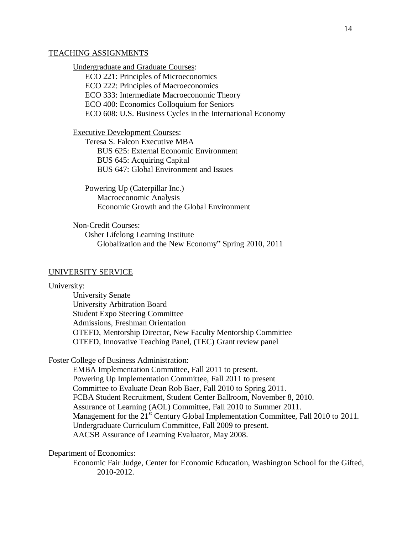#### TEACHING ASSIGNMENTS

Undergraduate and Graduate Courses:

ECO 221: Principles of Microeconomics ECO 222: Principles of Macroeconomics ECO 333: Intermediate Macroeconomic Theory ECO 400: Economics Colloquium for Seniors ECO 608: U.S. Business Cycles in the International Economy

Executive Development Courses:

Teresa S. Falcon Executive MBA BUS 625: External Economic Environment BUS 645: Acquiring Capital BUS 647: Global Environment and Issues

Powering Up (Caterpillar Inc.) Macroeconomic Analysis Economic Growth and the Global Environment

Non-Credit Courses: Osher Lifelong Learning Institute

Globalization and the New Economy" Spring 2010, 2011

#### UNIVERSITY SERVICE

University:

University Senate University Arbitration Board Student Expo Steering Committee Admissions, Freshman Orientation OTEFD, Mentorship Director, New Faculty Mentorship Committee OTEFD, Innovative Teaching Panel, (TEC) Grant review panel

Foster College of Business Administration:

EMBA Implementation Committee, Fall 2011 to present. Powering Up Implementation Committee, Fall 2011 to present Committee to Evaluate Dean Rob Baer, Fall 2010 to Spring 2011. FCBA Student Recruitment, Student Center Ballroom, November 8, 2010. Assurance of Learning (AOL) Committee, Fall 2010 to Summer 2011. Management for the  $21<sup>st</sup>$  Century Global Implementation Committee, Fall 2010 to 2011. Undergraduate Curriculum Committee, Fall 2009 to present. AACSB Assurance of Learning Evaluator, May 2008.

Department of Economics:

Economic Fair Judge, Center for Economic Education, Washington School for the Gifted, 2010-2012.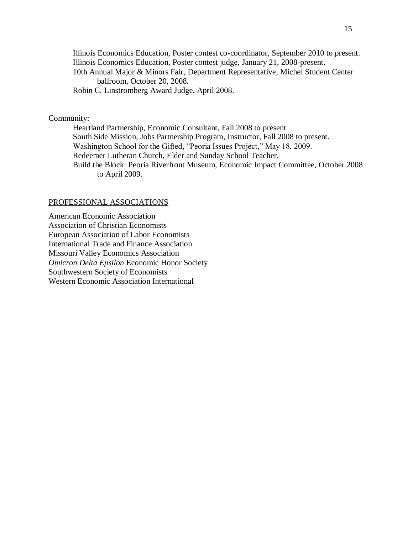Illinois Economics Education, Poster contest co-coordinator, September 2010 to present. Illinois Economics Education, Poster contest judge, January 21, 2008-present. 10th Annual Major & Minors Fair, Department Representative, Michel Student Center ballroom, October 20, 2008. Robin C. Linstromberg Award Judge, April 2008.

## Community:

Heartland Partnership, Economic Consultant, Fall 2008 to present South Side Mission, Jobs Partnership Program, Instructor, Fall 2008 to present. Washington School for the Gifted, "Peoria Issues Project," May 18, 2009. Redeemer Lutheran Church, Elder and Sunday School Teacher. Build the Block: Peoria Riverfront Museum, Economic Impact Committee, October 2008 to April 2009.

#### PROFESSIONAL ASSOCIATIONS

American Economic Association Association of Christian Economists European Association of Labor Economists International Trade and Finance Association Missouri Valley Economics Association *Omicron Delta Epsilon* Economic Honor Society Southwestern Society of Economists Western Economic Association International